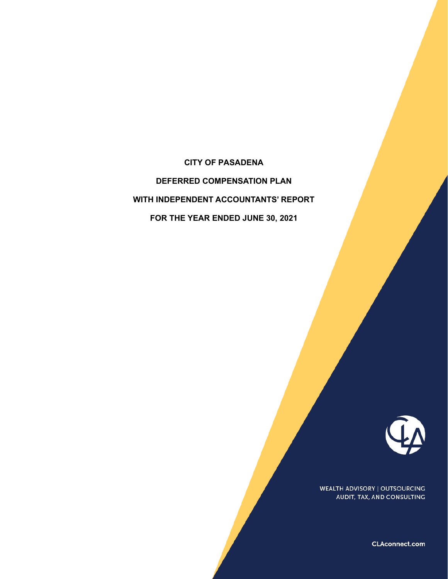**CITY OF PASADENA DEFERRED COMPENSATION PLAN WITH INDEPENDENT ACCOUNTANTS' REPORT FOR THE YEAR ENDED JUNE 30, 2021** 



WEALTH ADVISORY | OUTSOURCING AUDIT, TAX, AND CONSULTING

CLAconnect.com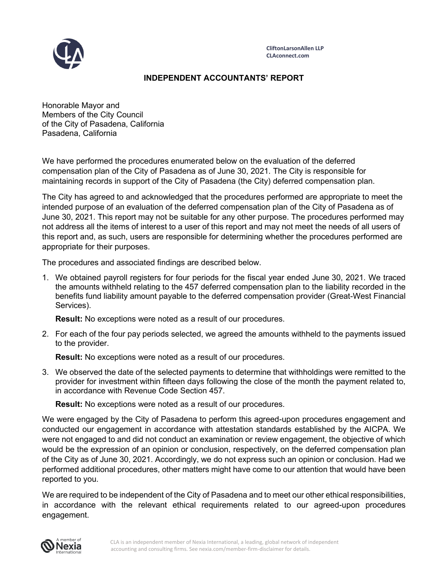

## **INDEPENDENT ACCOUNTANTS' REPORT**

Honorable Mayor and Members of the City Council of the City of Pasadena, California Pasadena, California

We have performed the procedures enumerated below on the evaluation of the deferred compensation plan of the City of Pasadena as of June 30, 2021. The City is responsible for maintaining records in support of the City of Pasadena (the City) deferred compensation plan.

The City has agreed to and acknowledged that the procedures performed are appropriate to meet the intended purpose of an evaluation of the deferred compensation plan of the City of Pasadena as of June 30, 2021. This report may not be suitable for any other purpose. The procedures performed may not address all the items of interest to a user of this report and may not meet the needs of all users of this report and, as such, users are responsible for determining whether the procedures performed are appropriate for their purposes.

The procedures and associated findings are described below.

1. We obtained payroll registers for four periods for the fiscal year ended June 30, 2021. We traced the amounts withheld relating to the 457 deferred compensation plan to the liability recorded in the benefits fund liability amount payable to the deferred compensation provider (Great-West Financial Services).

**Result:** No exceptions were noted as a result of our procedures.

2. For each of the four pay periods selected, we agreed the amounts withheld to the payments issued to the provider.

**Result:** No exceptions were noted as a result of our procedures.

3. We observed the date of the selected payments to determine that withholdings were remitted to the provider for investment within fifteen days following the close of the month the payment related to, in accordance with Revenue Code Section 457.

**Result:** No exceptions were noted as a result of our procedures.

We were engaged by the City of Pasadena to perform this agreed-upon procedures engagement and conducted our engagement in accordance with attestation standards established by the AICPA. We were not engaged to and did not conduct an examination or review engagement, the objective of which would be the expression of an opinion or conclusion, respectively, on the deferred compensation plan of the City as of June 30, 2021. Accordingly, we do not express such an opinion or conclusion. Had we performed additional procedures, other matters might have come to our attention that would have been reported to you.

We are required to be independent of the City of Pasadena and to meet our other ethical responsibilities, in accordance with the relevant ethical requirements related to our agreed-upon procedures engagement.

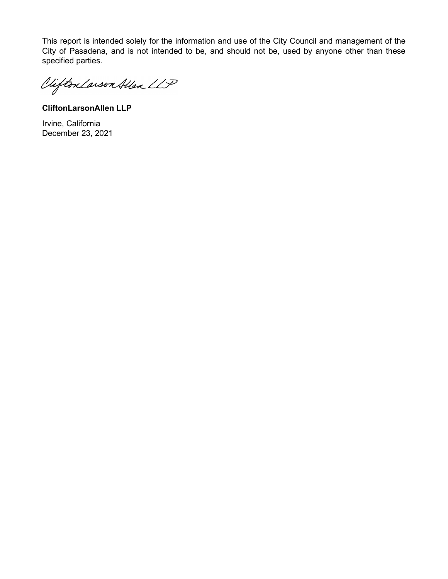This report is intended solely for the information and use of the City Council and management of the City of Pasadena, and is not intended to be, and should not be, used by anyone other than these specified parties.

Vifton Larson Allen LLP

**CliftonLarsonAllen LLP**

Irvine, California December 23, 2021